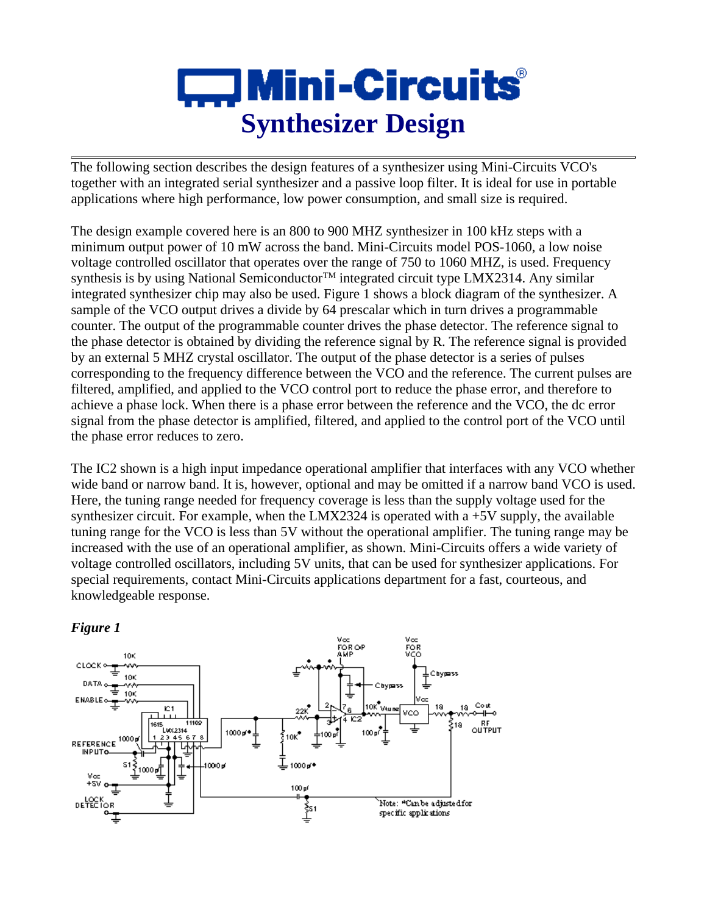## $\square$  Mini-Circuits $\degree$ **Synthesizer Design**

The following section describes the design features of a synthesizer using Mini-Circuits VCO's together with an integrated serial synthesizer and a passive loop filter. It is ideal for use in portable applications where high performance, low power consumption, and small size is required.

The design example covered here is an 800 to 900 MHZ synthesizer in 100 kHz steps with a minimum output power of 10 mW across the band. Mini-Circuits model POS-1060, a low noise voltage controlled oscillator that operates over the range of 750 to 1060 MHZ, is used. Frequency synthesis is by using National Semiconductor<sup>TM</sup> integrated circuit type LMX2314. Any similar integrated synthesizer chip may also be used. Figure 1 shows a block diagram of the synthesizer. A sample of the VCO output drives a divide by 64 prescalar which in turn drives a programmable counter. The output of the programmable counter drives the phase detector. The reference signal to the phase detector is obtained by dividing the reference signal by R. The reference signal is provided by an external 5 MHZ crystal oscillator. The output of the phase detector is a series of pulses corresponding to the frequency difference between the VCO and the reference. The current pulses are filtered, amplified, and applied to the VCO control port to reduce the phase error, and therefore to achieve a phase lock. When there is a phase error between the reference and the VCO, the dc error signal from the phase detector is amplified, filtered, and applied to the control port of the VCO until the phase error reduces to zero.

The IC2 shown is a high input impedance operational amplifier that interfaces with any VCO whether wide band or narrow band. It is, however, optional and may be omitted if a narrow band VCO is used. Here, the tuning range needed for frequency coverage is less than the supply voltage used for the synthesizer circuit. For example, when the LMX2324 is operated with a  $+5V$  supply, the available tuning range for the VCO is less than 5V without the operational amplifier. The tuning range may be increased with the use of an operational amplifier, as shown. Mini-Circuits offers a wide variety of voltage controlled oscillators, including 5V units, that can be used for synthesizer applications. For special requirements, contact Mini-Circuits applications department for a fast, courteous, and knowledgeable response.